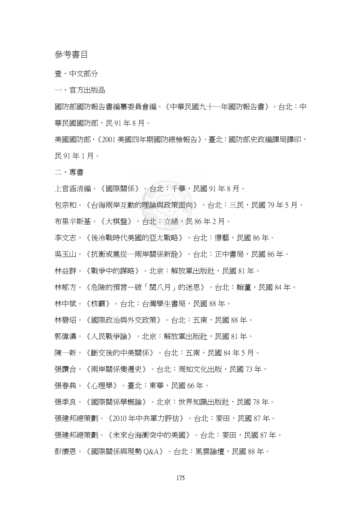## 參考書目

壹、中文部分

一、官方出版品

國防部國防報告書編纂委員會編。《中華民國九十一年國防報告書》。台北:中 華民國國防部,民91年8月。

美國國防部,《2001 美國四年期國防總檢報告》。臺北:國防部史政編譯局譯印, 民 91 年 1 月。

二、專書

上官涵清編。《國際關係》。台北:千華,民國 91 年 8 月。

包宗和。《台海兩岸互動的理論與政策面向》。台北:三民,民國 79 年 5 月。 布里辛斯基。《大棋盤》。台北:立緒,民 86 年 2 月。

李文志。《後冷戰時代美國的亞太戰略》。台北:憬藝,民國 86 年。

吳玉山。《抗衡或扈從一兩岸關係新詮》。台北:正中書局,民國 86 年。

林益群。《戰爭中的謀略》。北京:解放軍出版社,民國 81 年。

林郁方。《危險的預言—破「閏八月」的迷思》。台北:翰蘆,民國 84 年。

林中斌。《核霸》。台北:台灣學生書局,民國 88 年。

林碧炤。《國際政治與外交政策》。台北:五南,民國 88 年。

郭偉濤。《人民戰爭論》。北京:解放軍出版社,民國 81 年。

陳一新。《斷交後的中美關係》。台北:五南,民國 84 年 5 月。

張讚合。《兩岸關係變遷史》。台北:周知文化出版,民國 73 年。

張春典。《心理學》。臺北:東華,民國 66 年。

張季良。《國際關係學槪論》。北京:世界知識出版社,民國 78 年。

張建邦總策劃。《2010 年中共軍力評估》。台北:麥田,民國 87 年。

張建邦總策劃。《未來台海衝突中的美國》。台北:麥田,民國 87 年。

彭懷恩。《國際關係與現勢 Q&A》。台北:風雲論壇,民國 88年。

175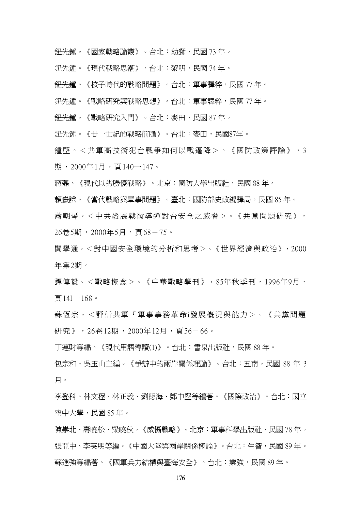- 鈕先鍾。《國家戰略論叢》。台北:幼獅,民國 73 年。
- 鈕先鍾。《現代戰略思潮》。台北:黎明,民國 74 年。
- 鈕先鍾。《核子時代的戰略問題》。台北:軍事譯粹,民國 77 年。
- 鈕先鍾。《戰略研究與戰略思想》。台北:軍事譯粹,民國 77 年。
- 鈕先鍾。《戰略研究入門》。台北:麥田,民國 87 年。
- 鈕先鍾。《廿一世紀的戰略前瞻》。台北:麥田,民國87年。

鍾堅。<共軍高技術犯台戰爭如何以戰逼降>。《國防政策評論》,3 期, 2000年1月, 百140一147。

- 蔣磊。《現代以劣勝優戰略》。北京:國防大學出版社,民國 88 年。
- 賴嶽謙。《當代戰略與軍事問題》。臺北:國防部史政編譯局,民國 85 年。
- 蕭朝琴。<中共發展戰術導彈對台安全之威脅>。《共黨問題研究》, 26卷5期,2000年5月,頁68-75。
- 閻學通。<對中國安全環境的分析和思考>。《世界經濟與政治》,2000 年第2期。

譚傳毅。<戰略概念>。《中華戰略學刊》,85年秋季刊,1996年9月, 頁14l一168。

蘇恆宗。<評析共軍『軍事事務革命i發展概況與能力>。《共黨問題 研究》, 26卷12期, 2000年12月, 百56-66。

丁連財等編。《現代用語導讀(1)》。台北:書泉出版社,民國 88 年。

包宗和、吳玉山主編。《爭辯中的兩岸關係理論》。台北:五南,民國 88 年 3 月。

李登科、林文程、林正義、劉德海、鄧中堅等編著。《國際政治》。台北:國立 空中大學,民國 85 年。

陳崇北、壽曉松、粱曉秋。《威懾戰略》。北京:軍事科學出版社,民國 78 年。 張亞中、李英明等編。《中國大陸與兩岸關係槪論》。台北:牛智,民國 89 年。 蘇進強等編著。《國軍兵力結構與臺海安全》。台北:業強,民國 89 年。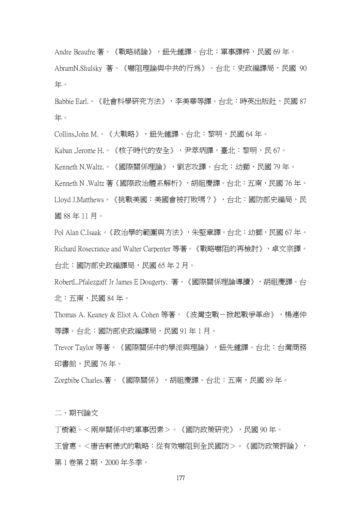Andre Beaufre 著。《戰略緒論》,鈕先鍾譯。台北:軍事譯粹,民國 69年。 AbramN.Shulsky 著。《嚇阻理論與中共的行為》。台北:史政編譯局,民國 90 年。

Babbie Earl.。《社會科學研究方法》,李美華等譯。台北:時英出版社,民國 87 年。

Collins,John M.。《大戰略》,鈕先鍾譯。台北:黎明,民國 64 年。

Kaban ,Jerome H.。《核子時代的安全》,尹萃炳譯。臺北:黎明,民 67。

Kenneth N.Waltz.。《國際關係理論》,劉志攻譯。台北:幼獅,民國 79年。

Kenneth N .Waltz 著《國際政治體系解析》,胡祖慶譯。台北:五南,民國 76 年。 Lloyd J.Matthews。《挑戰美國:美國會被打敗嗎?》,台北:國防部史編局,民 國 88 年 11 月。

Pol Alan C.Isaak。《政治學的範圍與方法》,朱堅章譯。台北:幼獅,民國 67 年。 Richard Rosecrance and Walter Carpenter 等著。《戰略嚇阻的再檢討》,卓文宗譯。 台北:國防部史政編譯局,民國 65 年 2 月。

RobertL.Pfalezgaff Jr James E Dougerty. 著。《國際關係理論導讀》,胡祖慶譯。台 北:五南,民國 84 年。

Thomas A. Keaney & Eliot A. Cohen 等著。《波灣空戰-掀起戰爭革命》,楊連仲 等譯。台北:國防部史政編譯局,民國 91 年 1 月。

Trevor Taylor 等著。《國際關係中的學派與理論》,鈕先鍾譯。台北:台灣商務 印書館,民國 76 年。

Zorgbibe Charles.著。《國際關係》,胡祖慶譯。台北:五南,民國 89 年。

二、期刊論文

丁樹範。<兩岸關係中的軍事因素>。《國防政策研究》,民國 90 年。 王曾惠。<唐吉軻德式的戰略:從有效嚇阻到全民國防>。《國防政策評論》, 第 1 卷第 2 期,2000 年冬季。

177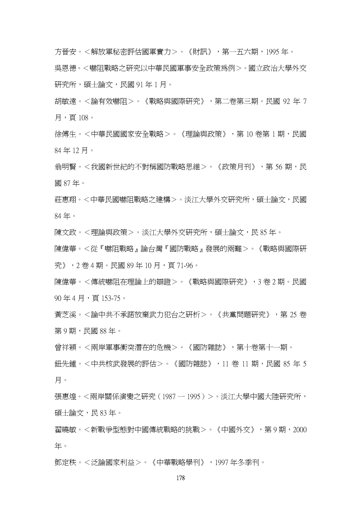方晉安。<解放軍秘密評估國軍實力>。《財訊》,第一五六期,1995 年。

吳恩德。<嚇阻戰略之研究以中華民國軍事安全政策為例>。國立政治大學外交 研究所,碩士論文,民國 91年1月。

胡敏遠。<論有效嚇阻>。《戰略與國際研究》,第二卷第三期。民國 92 年 7 月,頁 108。

徐傅生。<中華民國國家安全戰略>。《理論與政策》,第 10 卷第 1 期,民國 84 年 12 月。

翁明賢。<我國新世紀的不對稱國防戰略思維>。《政策月刊》,第 56 期,民 國 87 年。

莊惠翔。<中華民國嚇阻戰略之建構>。淡江大學外交研究所,碩士論文,民國 84 年。

陳文政。<理論與政策>。淡江大學外交研究所,碩士論文,民 85 年。

陳偉華。<從『嚇阻戰略』論台灣『國防戰略』發展的兩難>。《戰略與國際研 究》,2 卷 4 期。民國 89 年 10 月,頁 71-96。

陳偉華。<傳統嚇阻在理論上的辯證>。《戰略與國際研究》,3 卷 2 期。民國 90年4月, 百153-75。

黃芝溪。<論中共不承諾放棄武力犯台之研析>。《共黨問題研究》,第 25 卷 第9期,民國88年。

曾祥穎。<兩岸軍事衝突潛在的危機>。《國防雜誌》,第十卷第十一期。

鈕先鍾。<中共核武發展的評估>。《國防雜誌》,11 卷 11 期,民國 85 年 5 月。

張惠煌。<兩岸關係演變之研究(1987 一 1995)>。淡江大學中國大陸研究所, 碩士論文,民 83 年。

翟曉敏。<新戰爭型態對中國傳統戰略的挑戰>。《中國外交》,第 9 期,2000 年。

鄧定秩。<泛論國家利益>。《中華戰略學刊》,1997 年冬季刊。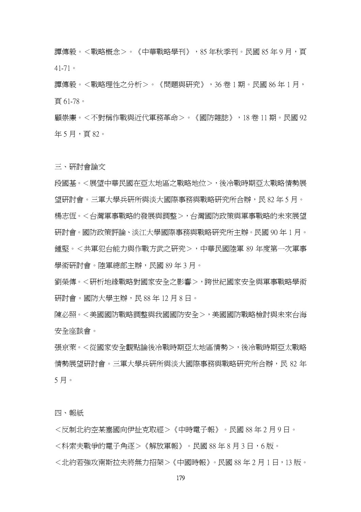譚傳毅。<戰略概念>。《中華戰略學刊》,85 年秋季刊。民國 85 年 9 月,頁 41-71。

譚傳毅。<戰略理性之分析>。《問題與研究》,36 卷 1 期。民國 86 年 1 月, 頁 61-78。

顧崇廉。<不對稱作戰與近代軍務革命>。《國防雜誌》,18 卷 11 期。民國 92 年5月, 頁82。

三、研討會論文

段國基。<展望中華民國在亞太地區之戰略地位>,後冷戰時期亞太戰略情勢展 望研討會。三軍大學兵研所與淡大國際事務與戰略研究所合辦,民 82 年 5 月。 楊志恆。<台灣軍事戰略的發展與調整>,台灣國防政策與軍事戰略的未來展望 研討會。國防政策評論、淡江大學國際事務與戰略研究所主辦。民國 90 年 1 月。 鍾堅。<共軍犯台能力與作戰方武之研究>,中華民國陸軍 89 年度第一次軍事 學術研討會。陸軍總部主辦,民國 89 年 3 月。

劉榮傳。<研析地緣戰略對國家安全之影響>,跨世紀國家安全與軍事戰略學術 研討會。國防大學主辦,民 88年12月8日。

陳必照。<美國國防戰略調整與我國國防安全>,美國國防戰略檢討與未來台海 安全座談會。

張京萊。<從國家安全觀點論後冷戰時期亞太地區情勢>,後冷戰時期亞太戰略 情勢展望研討會。三軍大學兵研所與淡大國際事務與戰略研究所合辦,民 82 年 5 月。

四、報紙

<反制北約空某塞國向伊扯克取經>《中時電子報》。民國 88 年 2 月 9 日。 <科索夫戰爭的雷子角涿>《解放軍報》。民國 88 年 8 月 3 日,6 版。 <北約若強攻南斯拉夫將無力招架>《中國時報》。民國 88 年 2 月 1 日,13 版。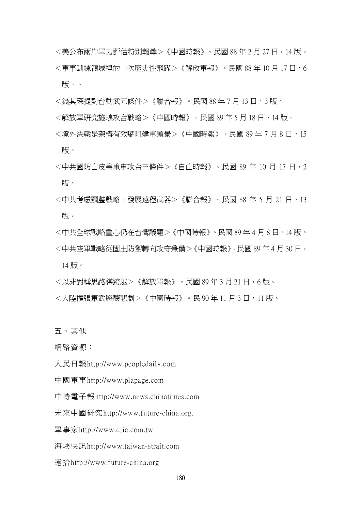- <美公布兩岸軍力評估特別報尊>《中國時報》。民國 88 年 2 月 27 日,14 版。 <軍事訓練領域裡的一次歷史性飛躍>《解放軍報》。民國 88年10月17日,6 版。。
- <錢其琛提對台動武五條件>《聯合報》。民國 88 年 7 月 13 日,3 版。
- <解放軍研究施琅攻台戰略>《中國時報》。民國 89年5月18日,14版。
- <境外決戰是架構有效嚇阻建軍願景>《中國時報》。民國 89 年 7 月 8 日,15 版。
- <中共國防白皮書重申攻台三條件>《自由時報》。民國 89 年 10 月 17 日,2 版。
- <中共考慮調整戰略,發展遠程武器>《聯合報》。民國 88 年 5 月 21 日,13 版。
- <中共全球戰略重心仍在台灣議題>《中國時報》。民國 89 年 4 月 8 日,14 版。 <中共空軍戰略從固土防禦轉向攻守兼備>《中國時報》。民國 89 年 4 月 30 日, 14 版。
- <以非對稱思路謀跨越>《解放軍報》。民國 89 年 3 月 21 日,6 版。
- <大陸擴張軍武將釀悲劇>《中國時報》。民 90年 11 月 3 日,11 版。

五、其他

網路資源:

人民日報http://www.peopledaily.com

中國軍事http://www.plapage.com

中時電子報http://www.news.chinatimes.com

未來中國研究http://www.future-china.org.

軍事家http://www.diic.com.tw

海峽快訊http://www.taiwan-strait.com

遠拾http://www.future-china.org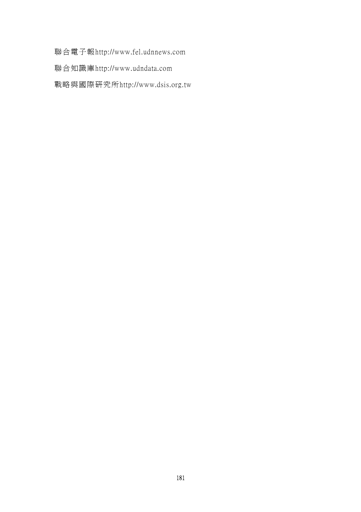聯合電子報http://www.fel.udnnews.com

聯合知識庫http://www.udndata.com

戰略與國際研究所http://www.dsis.org.tw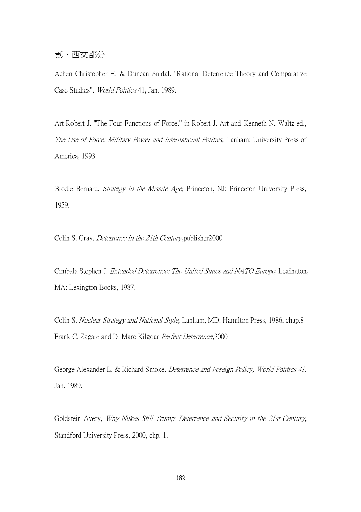## 貳、西文部分

Achen Christopher H. & Duncan Snidal. "Rational Deterrence Theory and Comparative Case Studies". World Politics 41, Jan. 1989.

Art Robert J. "The Four Functions of Force," in Robert J. Art and Kenneth N. Waltz ed., The Use of Force: Military Power and International Politics, Lanham: University Press of America, 1993.

Brodie Bernard. Strategy in the Missile Age, Princeton, NJ: Princeton University Press, 1959.

Colin S. Gray. Deterrence in the 21th Century,publisher2000

Cimbala Stephen J. Extended Deterrence: The United States and NATO Europe, Lexington, MA: Lexington Books, 1987.

Colin S. Nuclear Strategy and National Style, Lanham, MD: Hamilton Press, 1986, chap.8 Frank C. Zagare and D. Marc Kilgour Perfect Deterrence,2000

George Alexander L. & Richard Smoke. Deterrence and Foreign Policy, World Politics 41. Jan. 1989.

Goldstein Avery, Why Nukes Still Trump: Deterrence and Security in the 21st Century, Standford University Press, 2000, chp. 1.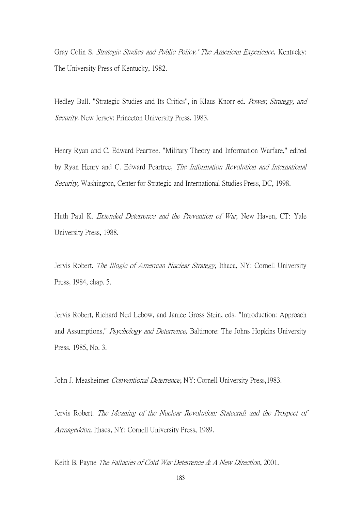Gray Colin S. Strategic Studies and Public Policy.' The American Experience, Kentucky: The University Press of Kentucky, 1982.

Hedley Bull. "Strategic Studies and Its Critics", in Klaus Knorr ed. Power, Strategy, and Security. New Jersey: Princeton University Press, 1983.

Henry Ryan and C. Edward Peartree. "Military Theory and Information Warfare," edited by Ryan Henry and C. Edward Peartree, The Information Revolution and International Security, Washington, Center for Strategic and International Studies Press, DC, 1998.

Huth Paul K. *Extended Deterrence and the Prevention of War*, New Haven, CT: Yale University Press, 1988.

Jervis Robert. *The Illogic of American Nuclear Strategy*, Ithaca, NY: Cornell University Press, 1984, chap. 5.

Jervis Robert, Richard Ned Lebow, and Janice Gross Stein, eds. "Introduction: Approach and Assumptions," Psychology and Deterrence, Baltimore: The Johns Hopkins University Press. 1985, No. 3.

John J. Measheimer Conventional Deterrence, NY: Cornell University Press,1983.

Jervis Robert. The Meaning of the Nuclear Revolution: Statecraft and the Prospect of Armageddon, Ithaca, NY: Cornell University Press, 1989.

Keith B. Payne The Fallacies of Cold War Deterrence & A New Direction, 2001.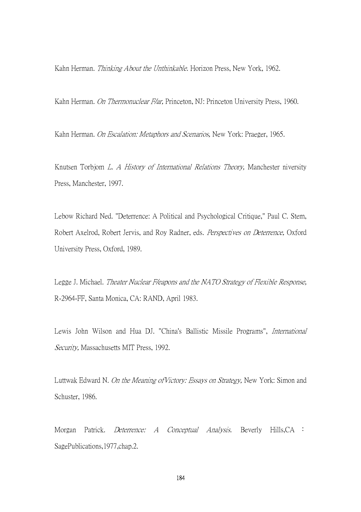Kahn Herman. *Thinking About the Unthinkable*. Horizon Press, New York, 1962.

Kahn Herman. On Thermonuclear F/ar, Princeton, NJ: Princeton University Press, 1960.

Kahn Herman. On Escalation: Metaphors and Scenarios, New York: Praeger, 1965.

Knutsen Torbjom *L. A History of International Relations Theory*, Manchester niversity Press, Manchester, 1997.

Lebow Richard Ned. "Deterrence: A Political and Psychological Critique," Paul C. Stem, Robert Axelrod, Robert Jervis, and Roy Radner, eds. Perspectives on Deterrence, Oxford University Press, Oxford, 1989.

Legge J. Michael. Theater Nuclear F/eapons and the NATO Strategy of Flexible Response, R-2964-FF, Santa Monica, CA: RAND, April 1983.

Lewis John Wilson and Hua DJ. "China's Ballistic Missile Programs", International Security, Massachusetts MIT Press, 1992.

Luttwak Edward N. On the Meaning ofVictory: Essays on Strategy, New York: Simon and Schuster, 1986.

Morgan Patrick. *Deterrence: A Conceptual Analysis*. Beverly Hills, CA : SagePublications,1977,chap.2.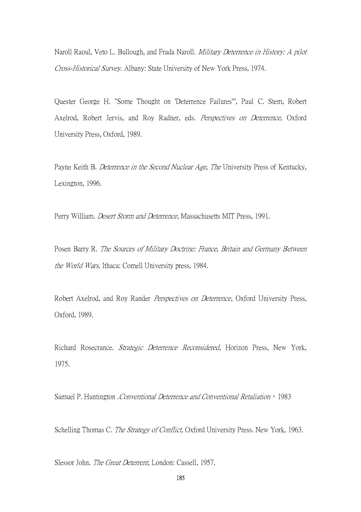Naroll Raoul, Veto L. Bullough, and Frada Naroll. Military Deterrence in History: A pilot Cross-Historical Survey. Albany: State University of New York Press, 1974.

Quester George H. "Some Thought on 'Deterrence Failures'", Paul C. Stem, Robert Axelrod, Robert Jervis, and Roy Radner, eds. Perspectives on Deterrence, Oxford University Press, Oxford, 1989.

Payne Keith B. Deterrence in the Second Nuclear Age, The University Press of Kentucky, Lexington, 1996.

Perry William. Desert Storm and Deterrence, Massachusetts MIT Press, 1991.

Posen Barry R. The Sources of Military Doctrine: France, Britain and Germany Between the World Wars, Ithaca: Comell University press, 1984.

Robert Axelrod, and Roy Rander *Perspectives on Deterrence*, Oxford University Press, Oxford, 1989.

Richard Rosecrance. Strategic Deterrence Reconsidered, Horizon Press, New York, 1975.

Samuel P. Huntington . Conventional Deterrence and Conventional Retaliation, 1983

Schelling Thomas C. The Strategy of Conflict, Oxford University Press. New York, 1963.

Slessor John. The Great Deterrent, London: Cassell, 1957.